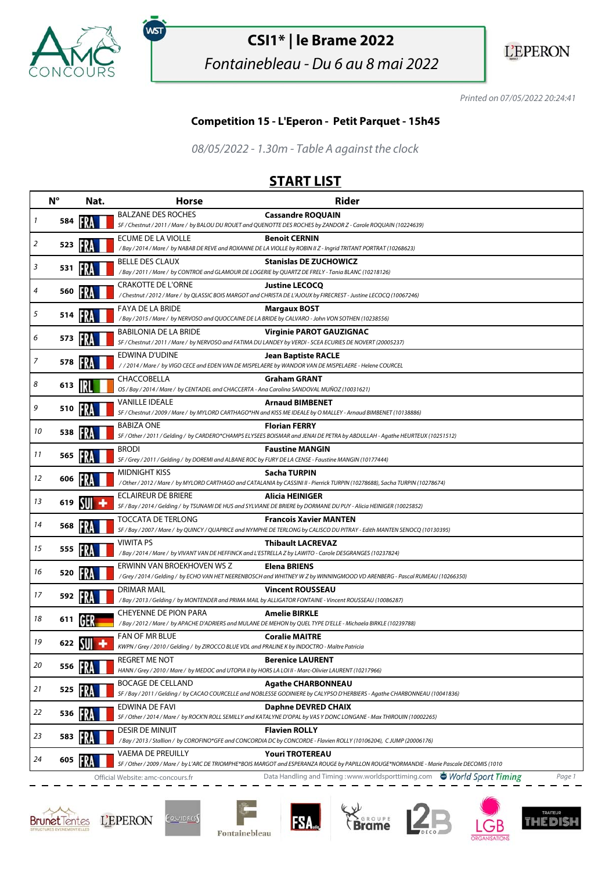

.<br>WST

# **CSI1\* | le Brame 2022**

Fontainebleau - Du 6 au 8 mai 2022



Printed on 07/05/2022 20:24:41

#### **Competition 15 - L'Eperon - Petit Parquet - 15h45**

08/05/2022 - 1.30m - Table A against the clock

## **START LIST**

|    | $N^{\circ}$   | Nat. | <b>Horse</b>                                                                                                                  | <b>Rider</b>                                                                                                                                 |
|----|---------------|------|-------------------------------------------------------------------------------------------------------------------------------|----------------------------------------------------------------------------------------------------------------------------------------------|
| 1  | 584           |      | <b>BALZANE DES ROCHES</b>                                                                                                     | <b>Cassandre ROQUAIN</b>                                                                                                                     |
|    |               |      |                                                                                                                               | SF / Chestnut / 2011 / Mare / by BALOU DU ROUET and QUENOTTE DES ROCHES by ZANDOR Z - Carole ROQUAIN (10224639)                              |
| 2  | 523           | 1537 | ECUME DE LA VIOLLE                                                                                                            | <b>Benoit CERNIN</b><br>/Bay / 2014 / Mare / by NABAB DE REVE and ROXANNE DE LA VIOLLE by ROBIN II Z - Ingrid TRITANT PORTRAT (10268623)     |
|    |               |      | <b>BELLE DES CLAUX</b>                                                                                                        | <b>Stanislas DE ZUCHOWICZ</b>                                                                                                                |
| 3  | 531           |      | /Bay / 2011 / Mare / by CONTROE and GLAMOUR DE LOGERIE by QUARTZ DE FRELY - Tania BLANC (10218126)                            |                                                                                                                                              |
| 4  | 560           |      | CRAKOTTE DE L'ORNE                                                                                                            | <b>Justine LECOCQ</b>                                                                                                                        |
|    |               |      |                                                                                                                               | / Chestnut / 2012 / Mare / by QLASSIC BOIS MARGOT and CHRISTA DE L'AJOUX by FIRECREST - Justine LECOCQ (10067246)                            |
| 5  | 514           |      | <b>FAYA DE LA BRIDE</b><br>/Bay / 2015 / Mare / by NERVOSO and QUOCCAINE DE LA BRIDE by CALVARO - John VON SOTHEN (10238556)  | <b>Margaux BOST</b>                                                                                                                          |
|    |               |      | <b>BABILONIA DE LA BRIDE</b>                                                                                                  | <b>Virginie PAROT GAUZIGNAC</b>                                                                                                              |
| 6  | 573           | FR.  |                                                                                                                               | SF / Chestnut / 2011 / Mare / by NERVOSO and FATIMA DU LANDEY by VERDI - SCEA ECURIES DE NOVERT (20005237)                                   |
| 7  | 578           |      | EDWINA D'UDINE                                                                                                                | <b>Jean Baptiste RACLE</b>                                                                                                                   |
|    |               |      |                                                                                                                               | / / 2014 / Mare / by VIGO CECE and EDEN VAN DE MISPELAERE by WANDOR VAN DE MISPELAERE - Helene COURCEL                                       |
| 8  | 613           |      | CHACCOBELLA<br>OS / Bay / 2014 / Mare / by CENTADEL and CHACCERTA - Ana Carolina SANDOVAL MUÑOZ (10031621)                    | <b>Graham GRANT</b>                                                                                                                          |
|    |               |      | <b>VANILLE IDEALE</b>                                                                                                         | <b>Arnaud BIMBENET</b>                                                                                                                       |
| 9  | 510           |      |                                                                                                                               | SF / Chestnut / 2009 / Mare / by MYLORD CARTHAGO*HN and KISS ME IDEALE by O MALLEY - Arnaud BIMBENET (10138886)                              |
| 10 |               |      | <b>BABIZA ONE</b>                                                                                                             | <b>Florian FERRY</b>                                                                                                                         |
|    | 538           |      |                                                                                                                               | SF / Other / 2011 / Gelding / by CARDERO*CHAMPS ELYSEES BOISMAR and JENAI DE PETRA by ABDULLAH - Agathe HEURTEUX (10251512)                  |
| 11 | 565           |      | <b>BRODI</b>                                                                                                                  | <b>Faustine MANGIN</b>                                                                                                                       |
|    |               |      | SF / Grey / 2011 / Gelding / by DOREMI and ALBANE ROC by FURY DE LA CENSE - Faustine MANGIN (10177444)<br>MIDNIGHT KISS       | Sacha TURPIN                                                                                                                                 |
| 12 | 606           |      |                                                                                                                               | / Other / 2012 / Mare / by MYLORD CARTHAGO and CATALANIA by CASSINI II - Pierrick TURPIN (10278688), Sacha TURPIN (10278674)                 |
|    |               |      | ECLAIREUR DE BRIERE                                                                                                           | Alicia HEINIGER                                                                                                                              |
| 13 | 619           |      |                                                                                                                               | SF / Bay / 2014 / Gelding / by TSUNAMI DE HUS and SYLVIANE DE BRIERE by DORMANE DU PUY - Alicia HEINIGER (10025852)                          |
| 14 | 568           |      | TOCCATA DE TERLONG                                                                                                            | <b>Francois Xavier MANTEN</b>                                                                                                                |
|    |               |      |                                                                                                                               | SF / Bay / 2007 / Mare / by QUINCY / QUAPRICE and NYMPHE DE TERLONG by CALISCO DU PITRAY - Edith MANTEN SENOCQ (10130395)                    |
| 15 | 555           | IFRA | <b>VIWITA PS</b><br>/ Bay / 2014 / Mare / by VIVANT VAN DE HEFFINCK and L'ESTRELLA Z by LAWITO - Carole DESGRANGES (10237824) | <b>Thibault LACREVAZ</b>                                                                                                                     |
|    |               |      | ERWINN VAN BROEKHOVEN WS Z                                                                                                    | <b>Elena BRIENS</b>                                                                                                                          |
| 16 | 520           |      |                                                                                                                               | /Grey / 2014 / Gelding / by ECHO VAN HET NEERENBOSCH and WHITNEY W Z by WINNINGMOOD VD ARENBERG - Pascal RUMEAU (10266350)                   |
| 17 |               |      | DRIMAR MAIL                                                                                                                   | <b>Vincent ROUSSEAU</b>                                                                                                                      |
|    | 592           |      |                                                                                                                               | /Bay / 2013 / Gelding / by MONTENDER and PRIMA MAIL by ALLIGATOR FONTAINE - Vincent ROUSSEAU (10086287)                                      |
| 18 | 611           |      | CHEYENNE DE PION PARA                                                                                                         | <b>Amelie BIRKLE</b><br>/ Bay / 2012 / Mare / by APACHE D'ADRIERS and MULANE DE MEHON by QUEL TYPE D'ELLE - Michaela BIRKLE (10239788)       |
|    |               |      | FAN OF MR BLUE                                                                                                                | <b>Coralie MAITRE</b>                                                                                                                        |
| 19 | 622 <b>NI</b> |      | KWPN / Grey / 2010 / Gelding / by ZIROCCO BLUE VDL and PRALINE K by INDOCTRO - Maître Patricia                                |                                                                                                                                              |
|    |               |      | <b>REGRET ME NOT</b>                                                                                                          | <b>Berenice LAURENT</b>                                                                                                                      |
| 20 | 556           |      | HANN / Grey / 2010 / Mare / by MEDOC and UTOPIA II by HORS LA LOI II - Marc-Olivier LAURENT (10217966)                        |                                                                                                                                              |
| 21 | 525           |      | <b>BOCAGE DE CELLAND</b>                                                                                                      | <b>Agathe CHARBONNEAU</b>                                                                                                                    |
|    |               |      |                                                                                                                               | SF / Bay / 2011 / Gelding / by CACAO COURCELLE and NOBLESSE GODINIERE by CALYPSO D'HERBIERS - Agathe CHARBONNEAU (10041836)                  |
| 22 | 536           |      | EDWINA DE FAVI                                                                                                                | Daphne DEVRED CHAIX<br>SF / Other / 2014 / Mare / by ROCK'N ROLL SEMILLY and KATALYNE D'OPAL by VAS Y DONC LONGANE - Max THIROUIN (10002265) |
|    |               |      | <b>DESIR DE MINUIT</b>                                                                                                        | <b>Flavien ROLLY</b>                                                                                                                         |
| 23 | 583           |      |                                                                                                                               | /Bay / 2013 / Stallion / by COROFINO*GFE and CONCORDIA DC by CONCORDE - Flavien ROLLY (10106204), CJUMP (20006176)                           |
|    |               |      | <b>VAEMA DE PREUILLY</b>                                                                                                      | <b>Youri TROTEREAU</b>                                                                                                                       |
| 24 | 605           |      |                                                                                                                               | SF / Other / 2009 / Mare / by L'ARC DE TRIOMPHE*BOIS MARGOT and ESPERANZA ROUGE by PAPILLON ROUGE*NORMANDIE - Marie Pascale DECOMIS (1010    |
|    |               |      | Official Website: amc-concours.fr                                                                                             | Data Handling and Timing: www.worldsporttiming.com World Sport Timing<br>Page 1                                                              |







**FSA** 







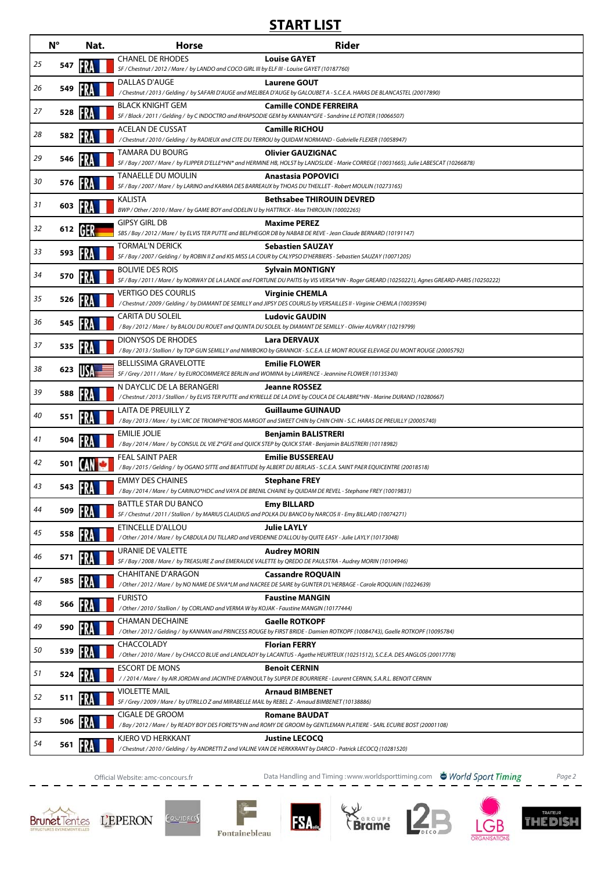## **START LIST**

|    | $N^{\circ}$ | Nat. | <b>Horse</b>                                                                                                                              | <b>Rider</b>                                                                                                                                                             |
|----|-------------|------|-------------------------------------------------------------------------------------------------------------------------------------------|--------------------------------------------------------------------------------------------------------------------------------------------------------------------------|
| 25 | 547         |      | <b>CHANEL DE RHODES</b><br>SF / Chestnut / 2012 / Mare / by LANDO and COCO GIRL III by ELF III - Louise GAYET (10187760)                  | <b>Louise GAYET</b>                                                                                                                                                      |
| 26 | 549         |      | DALLAS D'AUGE                                                                                                                             | <b>Laurene GOUT</b><br>/ Chestnut / 2013 / Gelding / by SAFARI D'AUGE and MELIBEA D'AUGE by GALOUBET A - S.C.E.A. HARAS DE BLANCASTEL (20017890)                         |
| 27 | 528         |      | <b>BLACK KNIGHT GEM</b><br>SF / Black / 2011 / Gelding / by C INDOCTRO and RHAPSODIE GEM by KANNAN*GFE - Sandrine LE POTIER (10066507)    | <b>Camille CONDE FERREIRA</b>                                                                                                                                            |
| 28 | 582         |      | <b>ACELAN DE CUSSAT</b><br>/ Chestnut / 2010 / Gelding / by RADIEUX and CITE DU TERROU by QUIDAM NORMAND - Gabrielle FLEXER (10058947)    | <b>Camille RICHOU</b>                                                                                                                                                    |
| 29 | 546         |      | TAMARA DU BOURG                                                                                                                           | <b>Olivier GAUZIGNAC</b><br>SF / Bay / 2007 / Mare / by FLIPPER D'ELLE*HN* and HERMINE HB, HOLST by LANDSLIDE - Marie CORREGE (10031665), Julie LABESCAT (10266878)      |
| 30 | 576         |      | <b>TANAELLE DU MOULIN</b><br>SF / Bay / 2007 / Mare / by LARINO and KARMA DES BARREAUX by THOAS DU THEILLET - Robert MOULIN (10273165)    | <b>Anastasia POPOVICI</b>                                                                                                                                                |
| 31 | 603         |      | <b>KALISTA</b>                                                                                                                            | <b>Bethsabee THIROUIN DEVRED</b>                                                                                                                                         |
| 32 | 612         |      | BWP / Other / 2010 / Mare / by GAME BOY and ODELIN U by HATTRICK - Max THIROUIN (10002265)<br><b>GIPSY GIRL DB</b>                        | <b>Maxime PEREZ</b>                                                                                                                                                      |
|    |             |      | SBS / Bay / 2012 / Mare / by ELVIS TER PUTTE and BELPHEGOR DB by NABAB DE REVE - Jean Claude BERNARD (10191147)<br><b>TORMAL'N DERICK</b> | <b>Sebastien SAUZAY</b>                                                                                                                                                  |
| 33 | 593         |      | SF / Bay / 2007 / Gelding / by ROBIN II Z and KIS MISS LA COUR by CALYPSO D'HERBIERS - Sebastien SAUZAY (10071205)                        |                                                                                                                                                                          |
| 34 | 570         |      | <b>BOLIVIE DES ROIS</b>                                                                                                                   | <b>Sylvain MONTIGNY</b><br>SF / Bay / 2011 / Mare / by NORWAY DE LA LANDE and FORTUNE DU PAITIS by VIS VERSA*HN - Roger GREARD (10250221), Agnes GREARD-PARIS (10250222) |
| 35 | 526         |      | <b>VERTIGO DES COURLIS</b>                                                                                                                | <b>Virginie CHEMLA</b><br>/ Chestnut / 2009 / Gelding / by DIAMANT DE SEMILLY and JIPSY DES COURLIS by VERSAILLES II - Virginie CHEMLA (10039594)                        |
| 36 | 545         |      | <b>CARITA DU SOLEIL</b><br>/ Bay / 2012 / Mare / by BALOU DU ROUET and QUINTA DU SOLEIL by DIAMANT DE SEMILLY - Olivier AUVRAY (10219799) | <b>Ludovic GAUDIN</b>                                                                                                                                                    |
| 37 | 535         |      | <b>DIONYSOS DE RHODES</b>                                                                                                                 | <b>Lara DERVAUX</b><br>/ Bay / 2013 / Stallion / by TOP GUN SEMILLY and NIMIBOKO by GRANNOX - S.C.E.A. LE MONT ROUGE ELEVAGE DU MONT ROUGE (20005792)                    |
| 38 | 623         |      | <b>BELLISSIMA GRAVELOTTE</b><br>SF / Grey / 2011 / Mare / by EUROCOMMERCE BERLIN and WOMINA by LAWRENCE - Jeannine FLOWER (10135340)      | <b>Emilie FLOWER</b>                                                                                                                                                     |
| 39 | 588         |      | N DAYCLIC DE LA BERANGERI                                                                                                                 | <b>Jeanne ROSSEZ</b>                                                                                                                                                     |
| 40 |             |      | LAITA DE PREUILLY Z                                                                                                                       | / Chestnut / 2013 / Stallion / by ELVIS TER PUTTE and KYRIELLE DE LA DIVE by COUCA DE CALABRE*HN - Marine DURAND (10280667)<br><b>Guillaume GUINAUD</b>                  |
|    | 551         |      | <b>EMILIE JOLIE</b>                                                                                                                       | /Bay / 2013 / Mare / by L'ARC DE TRIOMPHE*BOIS MARGOT and SWEET CHIN by CHIN CHIN - S.C. HARAS DE PREUILLY (20005740)<br><b>Benjamin BALISTRERI</b>                      |
| 41 | 504         |      | /Bay / 2014 / Mare / by CONSUL DL VIE Z*GFE and QUICK STEP by QUICK STAR - Benjamin BALISTRERI (10118982)                                 |                                                                                                                                                                          |
| 42 | 501         |      | FEAL SAINT PAER                                                                                                                           | <b>Emilie BUSSEREAU</b><br>/Bay / 2015 / Gelding / by OGANO SITTE and BEATITUDE by ALBERT DU BERLAIS - S.C.E.A. SAINT PAER EQUICENTRE (20018518)                         |
| 43 | 543         |      | <b>EMMY DES CHAINES</b><br>/ Bay / 2014 / Mare / by CARINJO*HDC and VAYA DE BRENIL CHAINE by QUIDAM DE REVEL - Stephane FREY (10019831)   | <b>Stephane FREY</b>                                                                                                                                                     |
| 44 | 509         |      | BATTLE STAR DU BANCO<br>SF / Chestnut / 2011 / Stallion / by MARIUS CLAUDIUS and POLKA DU BANCO by NARCOS II - Emy BILLARD (10074271)     | <b>Emy BILLARD</b>                                                                                                                                                       |
| 45 | 558         |      | ETINCELLE D'ALLOU<br>/ Other / 2014 / Mare / by CABDULA DU TILLARD and VERDENNE D'ALLOU by QUITE EASY - Julie LAYLY (10173048)            | <b>Julie LAYLY</b>                                                                                                                                                       |
| 46 | 571         |      | URANIE DE VALETTE<br>SF / Bay / 2008 / Mare / by TREASURE Z and EMERAUDE VALETTE by QREDO DE PAULSTRA - Audrey MORIN (10104946)           | <b>Audrey MORIN</b>                                                                                                                                                      |
| 47 | 585         |      | <b>CHAHITANE D'ARAGON</b>                                                                                                                 | <b>Cassandre ROQUAIN</b>                                                                                                                                                 |
| 48 | 566         |      | <b>FURISTO</b>                                                                                                                            | / Other / 2012 / Mare / by NO NAME DE SIVA*LM and NACREE DE SAIRE by GUNTER D'L'HERBAGE - Carole ROQUAIN (10224639)<br><b>Faustine MANGIN</b>                            |
| 49 | 590         |      | / Other / 2010 / Stallion / by CORLAND and VERMA W by KOJAK - Faustine MANGIN (10177444)<br><b>CHAMAN DECHAINE</b>                        | <b>Gaelle ROTKOPF</b>                                                                                                                                                    |
|    |             |      | CHACCOLADY                                                                                                                                | / Other / 2012 / Gelding / by KANNAN and PRINCESS ROUGE by FIRST BRIDE - Damien ROTKOPF (10084743), Gaelle ROTKOPF (10095784)<br><b>Florian FERRY</b>                    |
| 50 | 539         |      | <b>ESCORT DE MONS</b>                                                                                                                     | / Other / 2010 / Mare / by CHACCO BLUE and LANDLADY by LACANTUS - Agathe HEURTEUX (10251512), S.C.E.A. DES ANGLOS (20017778)                                             |
| 51 | 524         |      |                                                                                                                                           | <b>Benoit CERNIN</b><br>//2014/Mare/by AIR JORDAN and JACINTHE D'ARNOULT by SUPER DE BOURRIERE - Laurent CERNIN, S.A.R.L. BENOIT CERNIN                                  |
| 52 | 511         |      | <b>VIOLETTE MAIL</b><br>SF / Grey / 2009 / Mare / by UTRILLO Z and MIRABELLE MAIL by REBEL Z - Arnaud BIMBENET (10138886)                 | <b>Arnaud BIMBENET</b>                                                                                                                                                   |
| 53 | 506         |      | CIGALE DE GROOM                                                                                                                           | <b>Romane BAUDAT</b><br>/Bay / 2012 / Mare / by READY BOY DES FORETS*HN and ROMY DE GROOM by GENTLEMAN PLATIERE - SARL ECURIE BOST (20001108)                            |
| 54 | 561         |      | KJERO VD HERKKANT<br>/Chestnut/2010/Gelding/ by ANDRETTI Z and VALINE VAN DE HERKKRANT by DARCO - Patrick LECOCQ (10281520)               | <b>Justine LECOCQ</b>                                                                                                                                                    |

Official Website: amc-concours.fr Data Handling and Timing :www.worldsporttiming.com Page 2







**FSA.**